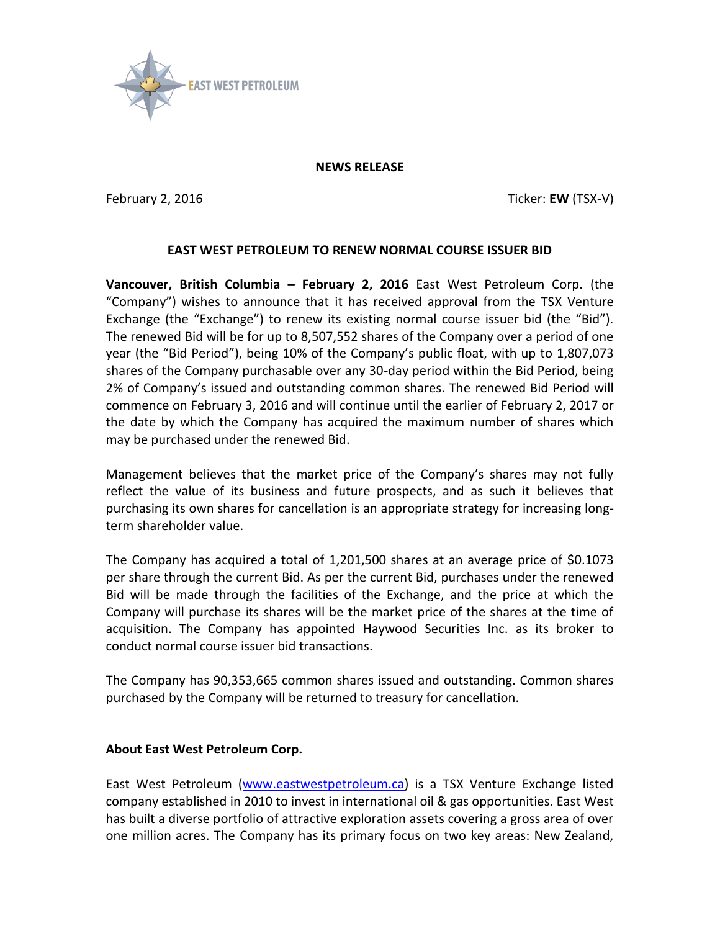

## **NEWS RELEASE**

February 2, 2016 **Ticker: EW** (TSX-V)

## **EAST WEST PETROLEUM TO RENEW NORMAL COURSE ISSUER BID**

**Vancouver, British Columbia – February 2, 2016** East West Petroleum Corp. (the "Company") wishes to announce that it has received approval from the TSX Venture Exchange (the "Exchange") to renew its existing normal course issuer bid (the "Bid"). The renewed Bid will be for up to 8,507,552 shares of the Company over a period of one year (the "Bid Period"), being 10% of the Company's public float, with up to 1,807,073 shares of the Company purchasable over any 30-day period within the Bid Period, being 2% of Company's issued and outstanding common shares. The renewed Bid Period will commence on February 3, 2016 and will continue until the earlier of February 2, 2017 or the date by which the Company has acquired the maximum number of shares which may be purchased under the renewed Bid.

Management believes that the market price of the Company's shares may not fully reflect the value of its business and future prospects, and as such it believes that purchasing its own shares for cancellation is an appropriate strategy for increasing longterm shareholder value.

The Company has acquired a total of 1,201,500 shares at an average price of \$0.1073 per share through the current Bid. As per the current Bid, purchases under the renewed Bid will be made through the facilities of the Exchange, and the price at which the Company will purchase its shares will be the market price of the shares at the time of acquisition. The Company has appointed Haywood Securities Inc. as its broker to conduct normal course issuer bid transactions.

The Company has 90,353,665 common shares issued and outstanding. Common shares purchased by the Company will be returned to treasury for cancellation.

## **About East West Petroleum Corp.**

East West Petroleum [\(www.eastwestpetroleum.ca\)](http://www.eastwestpetroleum.ca/) is a TSX Venture Exchange listed company established in 2010 to invest in international oil & gas opportunities. East West has built a diverse portfolio of attractive exploration assets covering a gross area of over one million acres. The Company has its primary focus on two key areas: New Zealand,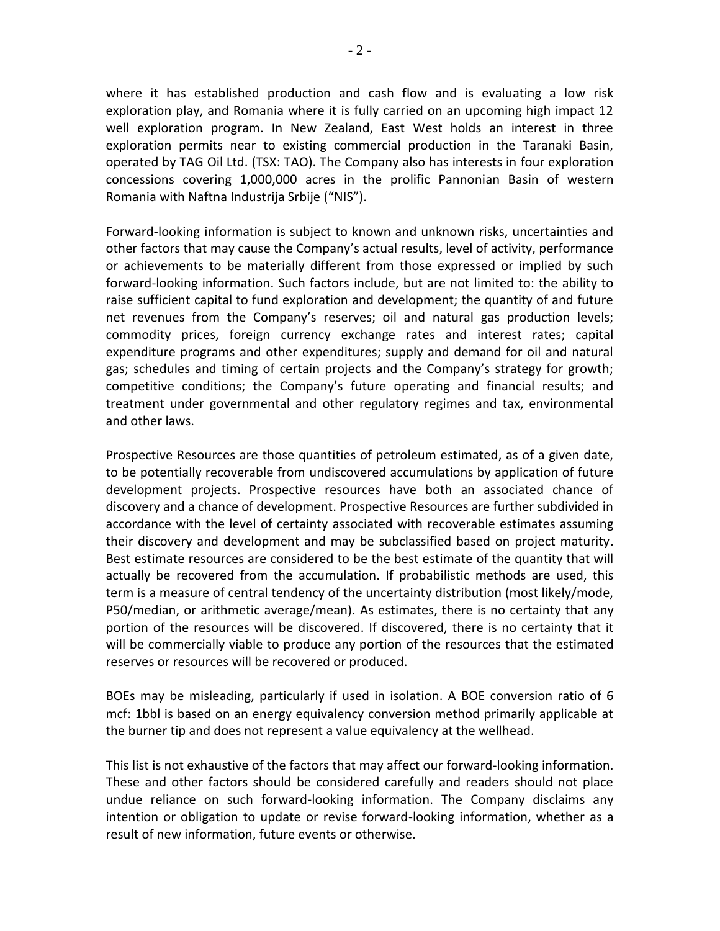where it has established production and cash flow and is evaluating a low risk exploration play, and Romania where it is fully carried on an upcoming high impact 12 well exploration program. In New Zealand, East West holds an interest in three exploration permits near to existing commercial production in the Taranaki Basin, operated by TAG Oil Ltd. (TSX: TAO). The Company also has interests in four exploration concessions covering 1,000,000 acres in the prolific Pannonian Basin of western Romania with Naftna Industrija Srbije ("NIS").

Forward-looking information is subject to known and unknown risks, uncertainties and other factors that may cause the Company's actual results, level of activity, performance or achievements to be materially different from those expressed or implied by such forward-looking information. Such factors include, but are not limited to: the ability to raise sufficient capital to fund exploration and development; the quantity of and future net revenues from the Company's reserves; oil and natural gas production levels; commodity prices, foreign currency exchange rates and interest rates; capital expenditure programs and other expenditures; supply and demand for oil and natural gas; schedules and timing of certain projects and the Company's strategy for growth; competitive conditions; the Company's future operating and financial results; and treatment under governmental and other regulatory regimes and tax, environmental and other laws.

Prospective Resources are those quantities of petroleum estimated, as of a given date, to be potentially recoverable from undiscovered accumulations by application of future development projects. Prospective resources have both an associated chance of discovery and a chance of development. Prospective Resources are further subdivided in accordance with the level of certainty associated with recoverable estimates assuming their discovery and development and may be subclassified based on project maturity. Best estimate resources are considered to be the best estimate of the quantity that will actually be recovered from the accumulation. If probabilistic methods are used, this term is a measure of central tendency of the uncertainty distribution (most likely/mode, P50/median, or arithmetic average/mean). As estimates, there is no certainty that any portion of the resources will be discovered. If discovered, there is no certainty that it will be commercially viable to produce any portion of the resources that the estimated reserves or resources will be recovered or produced.

BOEs may be misleading, particularly if used in isolation. A BOE conversion ratio of 6 mcf: 1bbl is based on an energy equivalency conversion method primarily applicable at the burner tip and does not represent a value equivalency at the wellhead.

This list is not exhaustive of the factors that may affect our forward-looking information. These and other factors should be considered carefully and readers should not place undue reliance on such forward-looking information. The Company disclaims any intention or obligation to update or revise forward-looking information, whether as a result of new information, future events or otherwise.